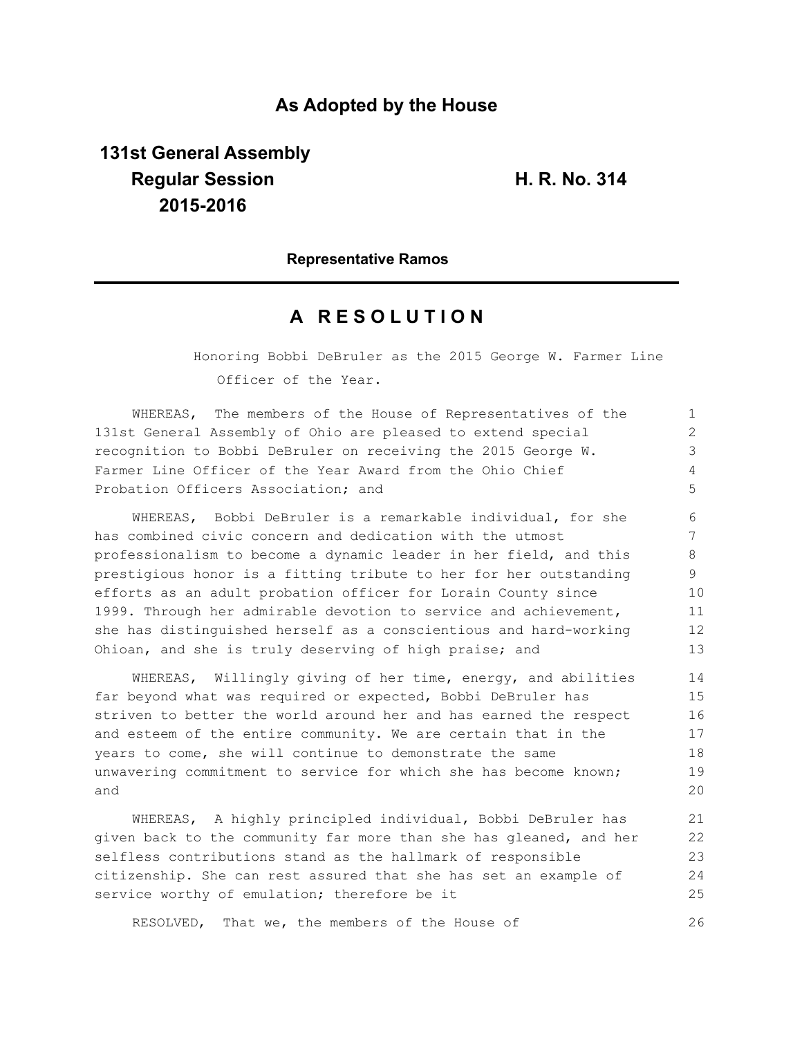## **As Adopted by the House**

# **131st General Assembly Regular Session H. R. No. 314 2015-2016**

### **Representative Ramos**

## **A R E S O L U T I O N**

Honoring Bobbi DeBruler as the 2015 George W. Farmer Line Officer of the Year.

WHEREAS, The members of the House of Representatives of the 131st General Assembly of Ohio are pleased to extend special recognition to Bobbi DeBruler on receiving the 2015 George W. Farmer Line Officer of the Year Award from the Ohio Chief Probation Officers Association; and 1 2 3 4 5

WHEREAS, Bobbi DeBruler is a remarkable individual, for she has combined civic concern and dedication with the utmost professionalism to become a dynamic leader in her field, and this prestigious honor is a fitting tribute to her for her outstanding efforts as an adult probation officer for Lorain County since 1999. Through her admirable devotion to service and achievement, she has distinguished herself as a conscientious and hard-working Ohioan, and she is truly deserving of high praise; and 6 7 8 9 10 11 12 13

WHEREAS, Willingly giving of her time, energy, and abilities far beyond what was required or expected, Bobbi DeBruler has striven to better the world around her and has earned the respect and esteem of the entire community. We are certain that in the years to come, she will continue to demonstrate the same unwavering commitment to service for which she has become known; and

WHEREAS, A highly principled individual, Bobbi DeBruler has given back to the community far more than she has gleaned, and her selfless contributions stand as the hallmark of responsible citizenship. She can rest assured that she has set an example of service worthy of emulation; therefore be it 21 22 23 24 25

RESOLVED, That we, the members of the House of 26